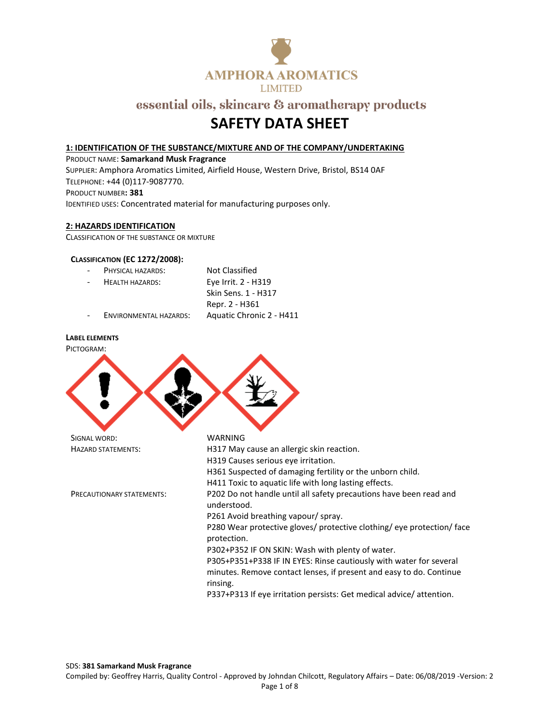

# **SAFETY DATA SHEET**

## **1: IDENTIFICATION OF THE SUBSTANCE/MIXTURE AND OF THE COMPANY/UNDERTAKING**

PRODUCT NAME: **Samarkand Musk Fragrance** SUPPLIER: Amphora Aromatics Limited, Airfield House, Western Drive, Bristol, BS14 0AF TELEPHONE: +44 (0)117-9087770. PRODUCT NUMBER**: 381** IDENTIFIED USES: Concentrated material for manufacturing purposes only.

### **2: HAZARDS IDENTIFICATION**

CLASSIFICATION OF THE SUBSTANCE OR MIXTURE

#### **CLASSIFICATION (EC 1272/2008):**

| PHYSICAL HAZARDS:             | Not Classified           |
|-------------------------------|--------------------------|
| <b>HEALTH HAZARDS:</b>        | Eye Irrit. 2 - H319      |
|                               | Skin Sens. 1 - H317      |
|                               | Repr. 2 - H361           |
| <b>ENVIRONMENTAL HAZARDS:</b> | Aquatic Chronic 2 - H411 |

#### **LABEL ELEMENTS**



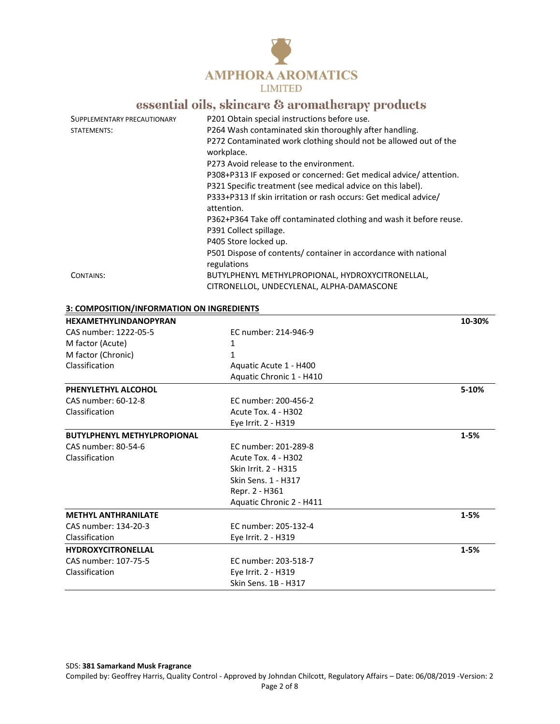

| SUPPLEMENTARY PRECAUTIONARY | P201 Obtain special instructions before use.                                   |
|-----------------------------|--------------------------------------------------------------------------------|
| STATEMENTS:                 | P264 Wash contaminated skin thoroughly after handling.                         |
|                             | P272 Contaminated work clothing should not be allowed out of the<br>workplace. |
|                             | P273 Avoid release to the environment.                                         |
|                             | P308+P313 IF exposed or concerned: Get medical advice/attention.               |
|                             | P321 Specific treatment (see medical advice on this label).                    |
|                             | P333+P313 If skin irritation or rash occurs: Get medical advice/               |
|                             | attention.                                                                     |
|                             | P362+P364 Take off contaminated clothing and wash it before reuse.             |
|                             | P391 Collect spillage.                                                         |
|                             | P405 Store locked up.                                                          |
|                             | P501 Dispose of contents/ container in accordance with national                |
|                             | regulations                                                                    |
| CONTAINS:                   | BUTYLPHENYL METHYLPROPIONAL, HYDROXYCITRONELLAL,                               |
|                             | CITRONELLOL, UNDECYLENAL, ALPHA-DAMASCONE                                      |

| <b>3. CONT OSTTON, INTONIMATION ON INSILEMENTS</b> |                            |          |
|----------------------------------------------------|----------------------------|----------|
| <b>HEXAMETHYLINDANOPYRAN</b>                       |                            | 10-30%   |
| CAS number: 1222-05-5                              | EC number: 214-946-9       |          |
| M factor (Acute)                                   | 1                          |          |
| M factor (Chronic)                                 | 1                          |          |
| Classification                                     | Aquatic Acute 1 - H400     |          |
|                                                    | Aquatic Chronic 1 - H410   |          |
| PHENYLETHYL ALCOHOL                                |                            | 5-10%    |
| CAS number: 60-12-8                                | EC number: 200-456-2       |          |
| Classification                                     | <b>Acute Tox. 4 - H302</b> |          |
|                                                    | Eye Irrit. 2 - H319        |          |
| <b>BUTYLPHENYL METHYLPROPIONAL</b>                 |                            | $1 - 5%$ |
| CAS number: 80-54-6                                | EC number: 201-289-8       |          |
| Classification                                     | Acute Tox. 4 - H302        |          |
|                                                    | Skin Irrit. 2 - H315       |          |
|                                                    | Skin Sens. 1 - H317        |          |
|                                                    | Repr. 2 - H361             |          |
|                                                    | Aquatic Chronic 2 - H411   |          |
| <b>METHYL ANTHRANILATE</b>                         |                            | $1 - 5%$ |
| CAS number: 134-20-3                               | EC number: 205-132-4       |          |
| Classification                                     | Eye Irrit. 2 - H319        |          |
| <b>HYDROXYCITRONELLAL</b>                          |                            | $1 - 5%$ |
| CAS number: 107-75-5                               | EC number: 203-518-7       |          |
| Classification                                     | Eye Irrit. 2 - H319        |          |
|                                                    | Skin Sens. 1B - H317       |          |
|                                                    |                            |          |

### **3: COMPOSITION/INFORMATION ON INGREDIENTS**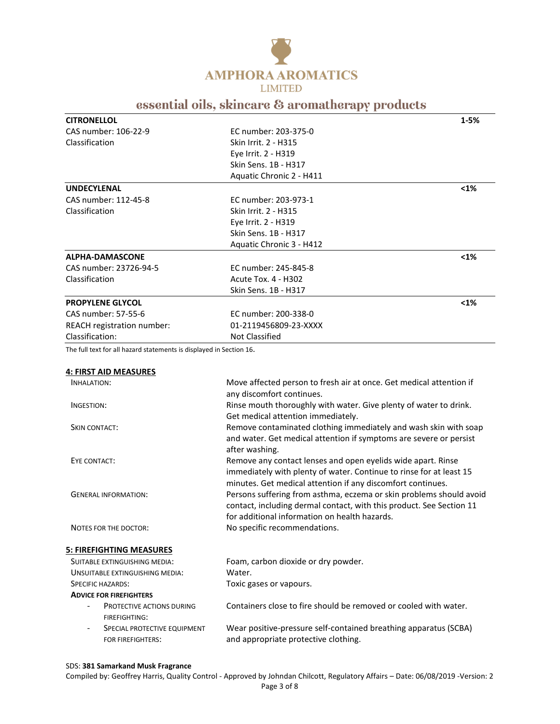

| <b>CITRONELLOL</b>                                                  |                                                                      | $1 - 5%$ |
|---------------------------------------------------------------------|----------------------------------------------------------------------|----------|
| CAS number: 106-22-9                                                | EC number: 203-375-0                                                 |          |
| Classification                                                      | Skin Irrit. 2 - H315                                                 |          |
|                                                                     | Eye Irrit. 2 - H319                                                  |          |
|                                                                     | Skin Sens. 1B - H317                                                 |          |
|                                                                     | Aquatic Chronic 2 - H411                                             |          |
| <b>UNDECYLENAL</b>                                                  |                                                                      | $<1\%$   |
| CAS number: 112-45-8                                                | EC number: 203-973-1                                                 |          |
| Classification                                                      | Skin Irrit. 2 - H315                                                 |          |
|                                                                     | Eye Irrit. 2 - H319                                                  |          |
|                                                                     | Skin Sens. 1B - H317                                                 |          |
|                                                                     | Aquatic Chronic 3 - H412                                             |          |
| <b>ALPHA-DAMASCONE</b>                                              |                                                                      | $1%$     |
| CAS number: 23726-94-5                                              | EC number: 245-845-8                                                 |          |
| Classification                                                      | <b>Acute Tox. 4 - H302</b>                                           |          |
|                                                                     | Skin Sens. 1B - H317                                                 |          |
| <b>PROPYLENE GLYCOL</b>                                             |                                                                      | $<1\%$   |
| CAS number: 57-55-6                                                 | EC number: 200-338-0                                                 |          |
| REACH registration number:                                          | 01-2119456809-23-XXXX                                                |          |
| Classification:                                                     | <b>Not Classified</b>                                                |          |
| The full text for all hazard statements is displayed in Section 16. |                                                                      |          |
| <b>4: FIRST AID MEASURES</b>                                        |                                                                      |          |
| INHALATION:                                                         | Move affected person to fresh air at once. Get medical attention if  |          |
|                                                                     | any discomfort continues.                                            |          |
| INGESTION:                                                          | Rinse mouth thoroughly with water. Give plenty of water to drink.    |          |
|                                                                     | Get medical attention immediately.                                   |          |
| <b>SKIN CONTACT:</b>                                                | Remove contaminated clothing immediately and wash skin with soap     |          |
|                                                                     | and water. Get medical attention if symptoms are severe or persist   |          |
|                                                                     | after washing.                                                       |          |
| EYE CONTACT:                                                        | Remove any contact lenses and open eyelids wide apart. Rinse         |          |
|                                                                     | immediately with plenty of water. Continue to rinse for at least 15  |          |
|                                                                     | minutes. Get medical attention if any discomfort continues.          |          |
| <b>GENERAL INFORMATION:</b>                                         | Persons suffering from asthma, eczema or skin problems should avoid  |          |
|                                                                     | contact, including dermal contact, with this product. See Section 11 |          |

NOTES FOR THE DOCTOR: No specific recommendations.

#### **5: FIREFIGHTING MEASURES**

| SUITABLE EXTINGUISHING MEDIA:                                                        | Foam, carbon dioxide or dry powder.                                                                      |  |
|--------------------------------------------------------------------------------------|----------------------------------------------------------------------------------------------------------|--|
| UNSUITABLE EXTINGUISHING MEDIA:                                                      | Water.                                                                                                   |  |
| SPECIFIC HAZARDS:                                                                    | Toxic gases or vapours.                                                                                  |  |
| <b>ADVICE FOR FIREFIGHTERS</b>                                                       |                                                                                                          |  |
| <b>PROTECTIVE ACTIONS DURING</b><br>$\overline{\phantom{a}}$<br>FIREFIGHTING:        | Containers close to fire should be removed or cooled with water.                                         |  |
| SPECIAL PROTECTIVE EQUIPMENT<br>$\overline{\phantom{a}}$<br><b>FOR FIREFIGHTERS:</b> | Wear positive-pressure self-contained breathing apparatus (SCBA)<br>and appropriate protective clothing. |  |

for additional information on health hazards.

#### SDS: **381 Samarkand Musk Fragrance**

Compiled by: Geoffrey Harris, Quality Control - Approved by Johndan Chilcott, Regulatory Affairs – Date: 06/08/2019 -Version: 2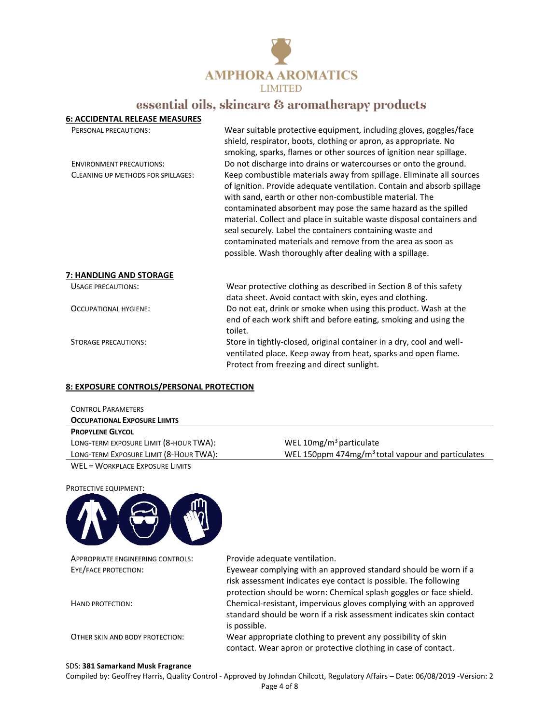

| <b>PERSONAL PRECAUTIONS:</b>       | Wear suitable protective equipment, including gloves, goggles/face<br>shield, respirator, boots, clothing or apron, as appropriate. No<br>smoking, sparks, flames or other sources of ignition near spillage.                                                                                                                                                                                                                                                                                                                              |
|------------------------------------|--------------------------------------------------------------------------------------------------------------------------------------------------------------------------------------------------------------------------------------------------------------------------------------------------------------------------------------------------------------------------------------------------------------------------------------------------------------------------------------------------------------------------------------------|
| <b>ENVIRONMENT PRECAUTIONS:</b>    | Do not discharge into drains or watercourses or onto the ground.                                                                                                                                                                                                                                                                                                                                                                                                                                                                           |
| CLEANING UP METHODS FOR SPILLAGES: | Keep combustible materials away from spillage. Eliminate all sources<br>of ignition. Provide adequate ventilation. Contain and absorb spillage<br>with sand, earth or other non-combustible material. The<br>contaminated absorbent may pose the same hazard as the spilled<br>material. Collect and place in suitable waste disposal containers and<br>seal securely. Label the containers containing waste and<br>contaminated materials and remove from the area as soon as<br>possible. Wash thoroughly after dealing with a spillage. |
| 7: HANDLING AND STORAGE            |                                                                                                                                                                                                                                                                                                                                                                                                                                                                                                                                            |
| <b>USAGE PRECAUTIONS:</b>          | Wear protective clothing as described in Section 8 of this safety<br>data sheet. Avoid contact with skin, eyes and clothing.                                                                                                                                                                                                                                                                                                                                                                                                               |
| OCCUPATIONAL HYGIENE:              | Do not eat, drink or smoke when using this product. Wash at the<br>end of each work shift and before eating, smoking and using the<br>toilet.                                                                                                                                                                                                                                                                                                                                                                                              |
| <b>STORAGE PRECAUTIONS:</b>        | Store in tightly-closed, original container in a dry, cool and well-<br>ventilated place. Keep away from heat, sparks and open flame.<br>Protect from freezing and direct sunlight.                                                                                                                                                                                                                                                                                                                                                        |
|                                    |                                                                                                                                                                                                                                                                                                                                                                                                                                                                                                                                            |

### **8: EXPOSURE CONTROLS/PERSONAL PROTECTION**

**6: ACCIDENTAL RELEASE MEASURES** 

| <b>CONTROL PARAMETERS</b>              |                                                               |
|----------------------------------------|---------------------------------------------------------------|
| <b>OCCUPATIONAL EXPOSURE LIIMTS</b>    |                                                               |
| <b>PROPYLENE GLYCOL</b>                |                                                               |
| LONG-TERM EXPOSURE LIMIT (8-HOUR TWA): | WEL $10mg/m3$ particulate                                     |
| LONG-TERM EXPOSURE LIMIT (8-HOUR TWA): | WEL 150ppm 474mg/m <sup>3</sup> total vapour and particulates |
| WEL = WORKPLACE EXPOSURE LIMITS        |                                                               |

#### PROTECTIVE EQUIPMENT:



APPROPRIATE ENGINEERING CONTROLS: Provide adequate ventilation. EYE/FACE PROTECTION: Eyewear complying with an approved standard should be worn if a risk assessment indicates eye contact is possible. The following protection should be worn: Chemical splash goggles or face shield. HAND PROTECTION: Chemical-resistant, impervious gloves complying with an approved standard should be worn if a risk assessment indicates skin contact is possible.

OTHER SKIN AND BODY PROTECTION: Wear appropriate clothing to prevent any possibility of skin contact. Wear apron or protective clothing in case of contact.

#### SDS: **381 Samarkand Musk Fragrance**

Compiled by: Geoffrey Harris, Quality Control - Approved by Johndan Chilcott, Regulatory Affairs – Date: 06/08/2019 -Version: 2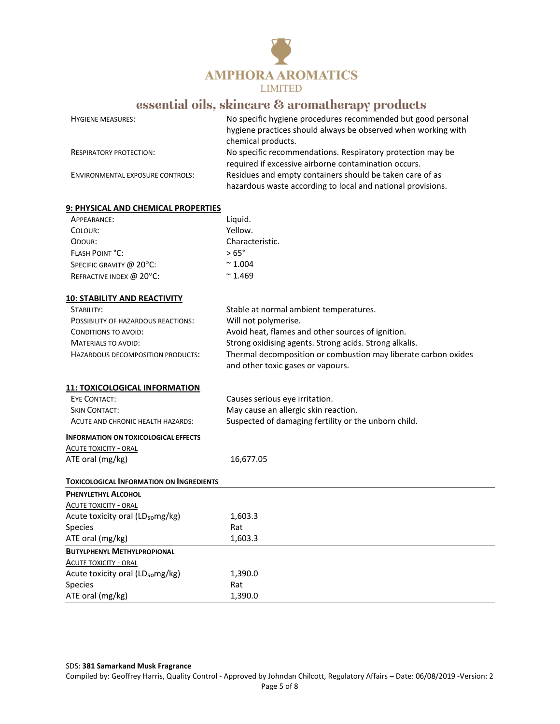

| <b>HYGIENE MEASURES:</b>                        | No specific hygiene procedures recommended but good personal<br>hygiene practices should always be observed when working with                                                   |
|-------------------------------------------------|---------------------------------------------------------------------------------------------------------------------------------------------------------------------------------|
| <b>RESPIRATORY PROTECTION:</b>                  | chemical products.<br>No specific recommendations. Respiratory protection may be                                                                                                |
| ENVIRONMENTAL EXPOSURE CONTROLS:                | required if excessive airborne contamination occurs.<br>Residues and empty containers should be taken care of as<br>hazardous waste according to local and national provisions. |
| 9: PHYSICAL AND CHEMICAL PROPERTIES             |                                                                                                                                                                                 |
| APPEARANCE:                                     | Liquid.                                                                                                                                                                         |
| COLOUR:                                         | Yellow.                                                                                                                                                                         |
| ODOUR:                                          | Characteristic.                                                                                                                                                                 |
| <b>FLASH POINT °C:</b>                          | $>65^{\circ}$                                                                                                                                                                   |
| SPECIFIC GRAVITY @ 20°C:                        | $~^{\sim} 1.004$                                                                                                                                                                |
| REFRACTIVE INDEX @ 20°C:                        | $~^{\sim}$ 1.469                                                                                                                                                                |
| <b>10: STABILITY AND REACTIVITY</b>             |                                                                                                                                                                                 |
| STABILITY:                                      | Stable at normal ambient temperatures.                                                                                                                                          |
| POSSIBILITY OF HAZARDOUS REACTIONS:             | Will not polymerise.                                                                                                                                                            |
| CONDITIONS TO AVOID:                            | Avoid heat, flames and other sources of ignition.                                                                                                                               |
| <b>MATERIALS TO AVOID:</b>                      | Strong oxidising agents. Strong acids. Strong alkalis.                                                                                                                          |
| HAZARDOUS DECOMPOSITION PRODUCTS:               | Thermal decomposition or combustion may liberate carbon oxides<br>and other toxic gases or vapours.                                                                             |
| 11: TOXICOLOGICAL INFORMATION                   |                                                                                                                                                                                 |
| <b>EYE CONTACT:</b>                             | Causes serious eye irritation.                                                                                                                                                  |
| <b>SKIN CONTACT:</b>                            | May cause an allergic skin reaction.                                                                                                                                            |
| ACUTE AND CHRONIC HEALTH HAZARDS:               | Suspected of damaging fertility or the unborn child.                                                                                                                            |
| <b>INFORMATION ON TOXICOLOGICAL EFFECTS</b>     |                                                                                                                                                                                 |
| <b>ACUTE TOXICITY - ORAL</b>                    |                                                                                                                                                                                 |
| ATE oral (mg/kg)                                | 16,677.05                                                                                                                                                                       |
| <b>TOXICOLOGICAL INFORMATION ON INGREDIENTS</b> |                                                                                                                                                                                 |
| <b>PHENYLETHYL ALCOHOL</b>                      |                                                                                                                                                                                 |
| <b>ACUTE TOXICITY - ORAL</b>                    |                                                                                                                                                                                 |
| Acute toxicity oral (LD <sub>so</sub> mg/kg)    | 1,603.3                                                                                                                                                                         |
| Species                                         | Rat                                                                                                                                                                             |
| ATE oral (mg/kg)                                | 1,603.3                                                                                                                                                                         |
| <b>BUTYLPHENYL METHYLPROPIONAL</b>              |                                                                                                                                                                                 |
| <b>ACUTE TOXICITY - ORAL</b>                    |                                                                                                                                                                                 |
| Acute toxicity oral (LD <sub>so</sub> mg/kg)    | 1,390.0                                                                                                                                                                         |
| Species                                         | Rat                                                                                                                                                                             |
| ATE oral (mg/kg)                                | 1,390.0                                                                                                                                                                         |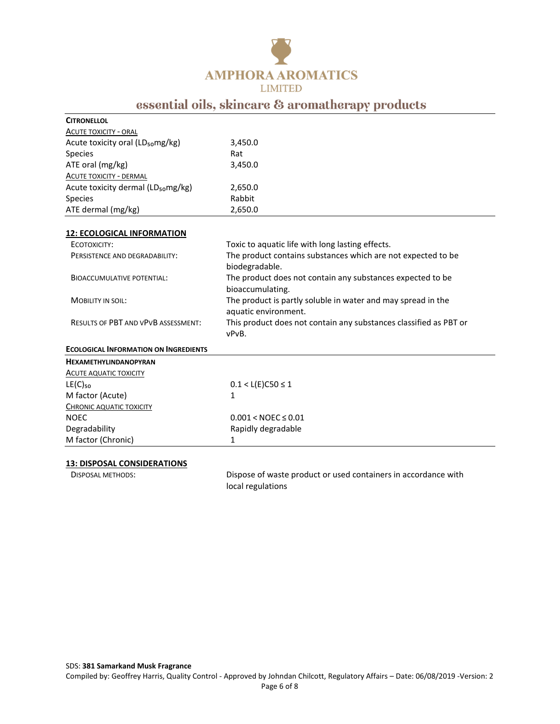

| <b>ACUTE TOXICITY - ORAL</b>                   |                                                                            |
|------------------------------------------------|----------------------------------------------------------------------------|
| Acute toxicity oral (LD <sub>so</sub> mg/kg)   | 3,450.0                                                                    |
| Species                                        | Rat                                                                        |
| ATE oral (mg/kg)                               | 3,450.0                                                                    |
| <b>ACUTE TOXICITY - DERMAL</b>                 |                                                                            |
| Acute toxicity dermal (LD <sub>50</sub> mg/kg) | 2,650.0                                                                    |
| <b>Species</b>                                 | Rabbit                                                                     |
| ATE dermal (mg/kg)                             | 2,650.0                                                                    |
| <b>12: ECOLOGICAL INFORMATION</b>              |                                                                            |
| ECOTOXICITY:                                   | Toxic to aquatic life with long lasting effects.                           |
| PERSISTENCE AND DEGRADABILITY:                 | The product contains substances which are not expected to be               |
|                                                | biodegradable.                                                             |
| <b>BIOACCUMULATIVE POTENTIAL:</b>              | The product does not contain any substances expected to be                 |
|                                                | bioaccumulating.                                                           |
| <b>MOBILITY IN SOIL:</b>                       | The product is partly soluble in water and may spread in the               |
|                                                | aquatic environment.                                                       |
| <b>RESULTS OF PBT AND VPVB ASSESSMENT:</b>     | This product does not contain any substances classified as PBT or<br>vPvB. |
| <b>ECOLOGICAL INFORMATION ON INGREDIENTS</b>   |                                                                            |
| <b>HEXAMETHYLINDANOPYRAN</b>                   |                                                                            |
| <b>ACUTE AQUATIC TOXICITY</b>                  |                                                                            |
| $LE(C)_{50}$                                   | $0.1 < L(E)$ C50 $\leq$ 1                                                  |
| M factor (Acute)                               | 1                                                                          |
| <b>CHRONIC AQUATIC TOXICITY</b>                |                                                                            |
| <b>NOEC</b>                                    | $0.001 < NOEC \le 0.01$                                                    |
| Degradability                                  | Rapidly degradable                                                         |
| M factor (Chronic)                             | 1                                                                          |

### **13: DISPOSAL CONSIDERATIONS**

DISPOSAL METHODS: Dispose of waste product or used containers in accordance with local regulations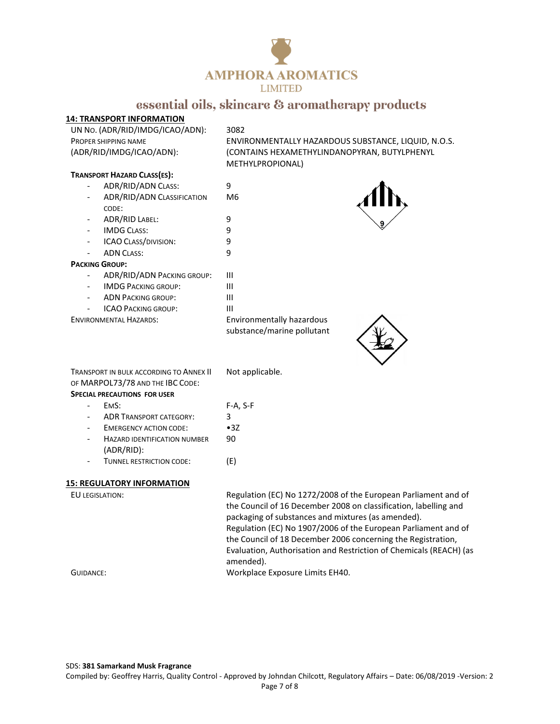

## **14: TRANSPORT INFORMATION**

| UN No. (ADR/RID/IMDG/ICAO/ADN): | 3082                                                |
|---------------------------------|-----------------------------------------------------|
| PROPER SHIPPING NAME            | ENVIRONMENTALLY HAZARDOUS SUBSTANCE, LIQUID, N.O.S. |
| (ADR/RID/IMDG/ICAO/ADN):        | CONTAINS HEXAMETHYLINDANOPYRAN, BUTYLPHENYL         |
|                                 | METHYLPROPIONAL)                                    |

### **TRANSPORT HAZARD CLASS(ES):**

| <b>ADR/RID/ADN CLASS:</b>         | q  |
|-----------------------------------|----|
| <b>ADR/RID/ADN CLASSIFICATION</b> | M6 |
| CODE:                             |    |
| ADR/RID LABEL:                    | q  |

- 
- IMDG CLASS: 9
- ICAO CLASS/DIVISION: 9
- ADN CLASS: 9

#### **PACKING GROUP:**

- ADR/RID/ADN PACKING GROUP: III
- IMDG PACKING GROUP: III
- ADN PACKING GROUP: III
	- ICAO PACKING GROUP: III
- 

ENVIRONMENTAL HAZARDS: Environmentally hazardous substance/marine pollutant



| TRANSPORT IN BULK ACCORDING TO ANNEX II | Not applicable. |
|-----------------------------------------|-----------------|
| OF MARPOL73/78 AND THE IBC CODE:        |                 |
| <b>SPECIAL PRECAUTIONS FOR USER</b>     |                 |
| FMS:<br>$\sim$                          | $F-A, S-F$      |
| <b>ADR TRANSPORT CATEGORY:</b>          | ર               |
| <b>EMERGENCY ACTION CODE:</b>           | $\bullet$ 3Z    |

- HAZARD IDENTIFICATION NUMBER (ADR/RID):
- TUNNEL RESTRICTION CODE: (E)

## **15: REGULATORY INFORMATION**

| <b>EU LEGISLATION:</b> | Regulation (EC) No 1272/2008 of the European Parliament and of     |
|------------------------|--------------------------------------------------------------------|
|                        | the Council of 16 December 2008 on classification, labelling and   |
|                        | packaging of substances and mixtures (as amended).                 |
|                        | Regulation (EC) No 1907/2006 of the European Parliament and of     |
|                        | the Council of 18 December 2006 concerning the Registration,       |
|                        | Evaluation, Authorisation and Restriction of Chemicals (REACH) (as |
|                        | amended).                                                          |
| GUIDANCE:              | Workplace Exposure Limits EH40.                                    |
|                        |                                                                    |

90